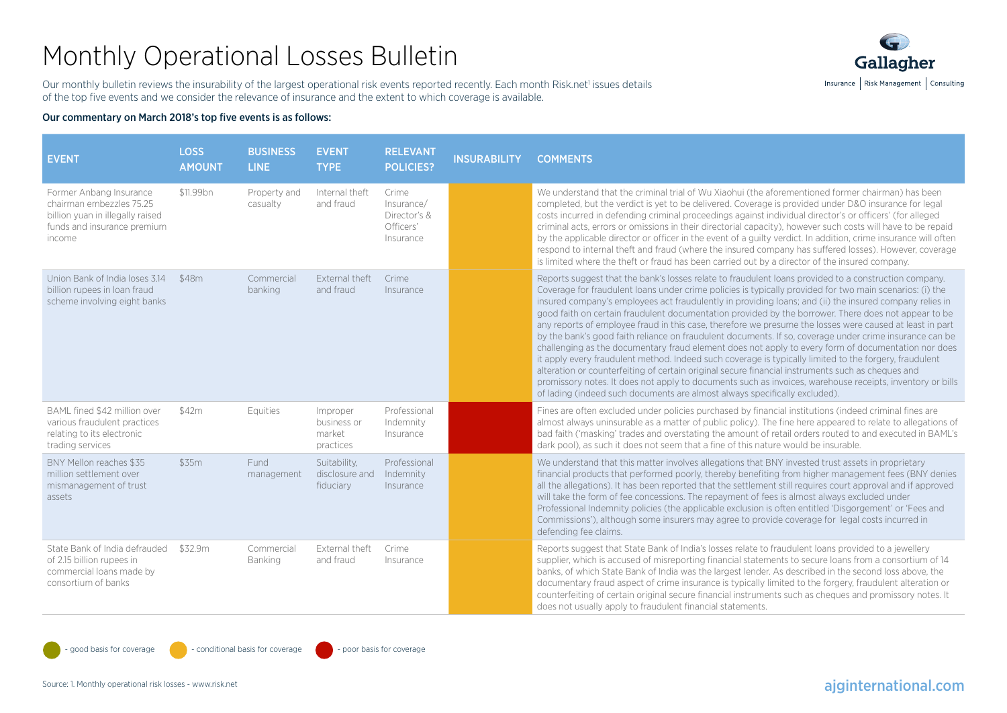# Monthly Operational Losses Bulletin



Our monthly bulletin reviews the insurability of the largest operational risk events reported recently. Each month Risk.net' issues details of the top five events and we consider the relevance of insurance and the extent to which coverage is available.

#### Our commentary on March 2018's top five events is as follows:

| <b>EVENT</b>                                                                                                                     | <b>LOSS</b><br><b>AMOUNT</b> | <b>BUSINESS</b><br><b>LINE</b> | <b>EVENT</b><br><b>TYPE</b>                    | <b>RELEVANT</b><br><b>POLICIES?</b>                           | <b>INSURABILITY</b> | <b>COMMENTS</b>                                                                                                                                                                                                                                                                                                                                                                                                                                                                                                                                                                                                                                                                                                                                                                                                                                                                                                                                                                                                                                                                                                                                                              |
|----------------------------------------------------------------------------------------------------------------------------------|------------------------------|--------------------------------|------------------------------------------------|---------------------------------------------------------------|---------------------|------------------------------------------------------------------------------------------------------------------------------------------------------------------------------------------------------------------------------------------------------------------------------------------------------------------------------------------------------------------------------------------------------------------------------------------------------------------------------------------------------------------------------------------------------------------------------------------------------------------------------------------------------------------------------------------------------------------------------------------------------------------------------------------------------------------------------------------------------------------------------------------------------------------------------------------------------------------------------------------------------------------------------------------------------------------------------------------------------------------------------------------------------------------------------|
| Former Anbang Insurance<br>chairman embezzles 75.25<br>billion yuan in illegally raised<br>funds and insurance premium<br>income | \$11.99bn                    | Property and<br>casualty       | Internal theft<br>and fraud                    | Crime<br>Insurance/<br>Director's &<br>Officers'<br>Insurance |                     | We understand that the criminal trial of Wu Xiaohui (the aforementioned former chairman) has been<br>completed, but the verdict is yet to be delivered. Coverage is provided under D&O insurance for legal<br>costs incurred in defending criminal proceedings against individual director's or officers' (for alleged<br>criminal acts, errors or omissions in their directorial capacity), however such costs will have to be repaid<br>by the applicable director or officer in the event of a quilty verdict. In addition, crime insurance will often<br>respond to internal theft and fraud (where the insured company has suffered losses). However, coverage<br>is limited where the theft or fraud has been carried out by a director of the insured company.                                                                                                                                                                                                                                                                                                                                                                                                        |
| Union Bank of India loses 3.14<br>billion rupees in loan fraud<br>scheme involving eight banks                                   | \$48m                        | Commercial<br>banking          | External theft<br>and fraud                    | Crime<br>Insurance                                            |                     | Reports suggest that the bank's losses relate to fraudulent loans provided to a construction company.<br>Coverage for fraudulent loans under crime policies is typically provided for two main scenarios: (i) the<br>insured company's employees act fraudulently in providing loans; and (ii) the insured company relies in<br>good faith on certain fraudulent documentation provided by the borrower. There does not appear to be<br>any reports of employee fraud in this case, therefore we presume the losses were caused at least in part<br>by the bank's good faith reliance on fraudulent documents. If so, coverage under crime insurance can be<br>challenging as the documentary fraud element does not apply to every form of documentation nor does<br>it apply every fraudulent method. Indeed such coverage is typically limited to the forgery, fraudulent<br>alteration or counterfeiting of certain original secure financial instruments such as cheques and<br>promissory notes. It does not apply to documents such as invoices, warehouse receipts, inventory or bills<br>of lading (indeed such documents are almost always specifically excluded). |
| BAML fined \$42 million over<br>various fraudulent practices<br>relating to its electronic<br>trading services                   | \$42m                        | Equities                       | Improper<br>business or<br>market<br>practices | Professional<br>Indemnity<br>Insurance                        |                     | Fines are often excluded under policies purchased by financial institutions (indeed criminal fines are<br>almost always uninsurable as a matter of public policy). The fine here appeared to relate to allegations of<br>bad faith ('masking' trades and overstating the amount of retail orders routed to and executed in BAML's<br>dark pool), as such it does not seem that a fine of this nature would be insurable.                                                                                                                                                                                                                                                                                                                                                                                                                                                                                                                                                                                                                                                                                                                                                     |
| BNY Mellon reaches \$35<br>million settlement over<br>mismanagement of trust<br>assets                                           | \$35m                        | Fund<br>management             | Suitability,<br>disclosure and<br>fiduciary    | Professional<br>Indemnity<br>Insurance                        |                     | We understand that this matter involves allegations that BNY invested trust assets in proprietary<br>financial products that performed poorly, thereby benefiting from higher management fees (BNY denies<br>all the allegations). It has been reported that the settlement still requires court approval and if approved<br>will take the form of fee concessions. The repayment of fees is almost always excluded under<br>Professional Indemnity policies (the applicable exclusion is often entitled 'Disgorgement' or 'Fees and<br>Commissions'), although some insurers may agree to provide coverage for legal costs incurred in<br>defending fee claims.                                                                                                                                                                                                                                                                                                                                                                                                                                                                                                             |
| State Bank of India defrauded<br>of 2.15 billion rupees in<br>commercial loans made by<br>consortium of banks                    | \$32.9m                      | Commercial<br>Banking          | External theft<br>and fraud                    | Crime<br>Insurance                                            |                     | Reports suggest that State Bank of India's losses relate to fraudulent loans provided to a jewellery<br>supplier, which is accused of misreporting financial statements to secure loans from a consortium of 14<br>banks, of which State Bank of India was the largest lender. As described in the second loss above, the<br>documentary fraud aspect of crime insurance is typically limited to the forgery, fraudulent alteration or<br>counterfeiting of certain original secure financial instruments such as cheques and promissory notes. It<br>does not usually apply to fraudulent financial statements.                                                                                                                                                                                                                                                                                                                                                                                                                                                                                                                                                             |

 $\sim$  good basis for coverage  $\sim$  conditional basis for coverage  $\sim$  - poor basis for coverage